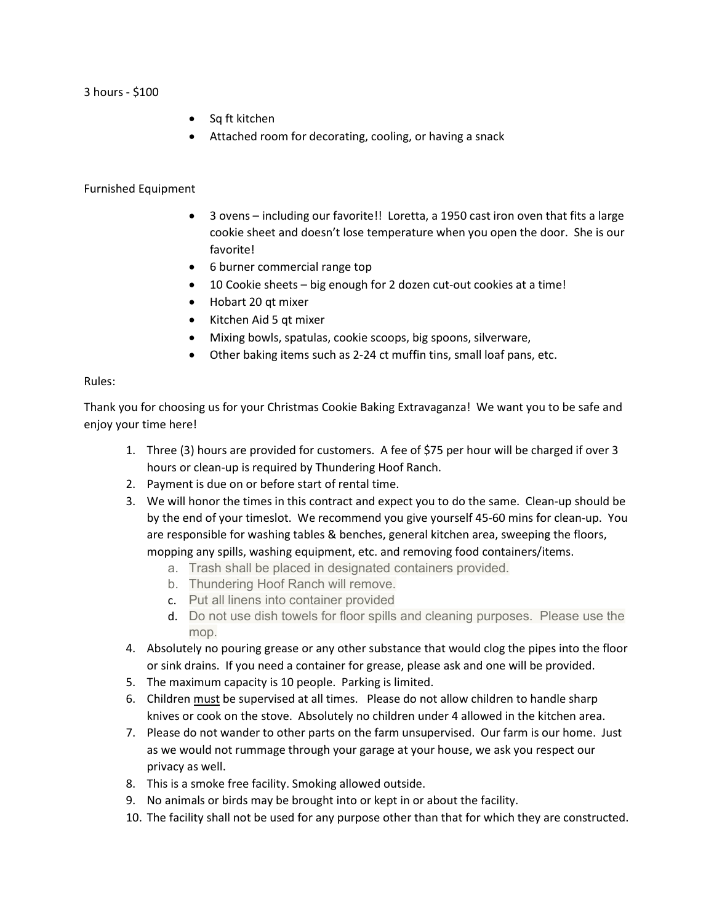3 hours - \$100

- Sq ft kitchen
- Attached room for decorating, cooling, or having a snack

## Furnished Equipment

- 3 ovens including our favorite!! Loretta, a 1950 cast iron oven that fits a large cookie sheet and doesn't lose temperature when you open the door. She is our favorite!
- 6 burner commercial range top
- 10 Cookie sheets big enough for 2 dozen cut-out cookies at a time!
- Hobart 20 qt mixer
- Kitchen Aid 5 qt mixer
- Mixing bowls, spatulas, cookie scoops, big spoons, silverware,
- Other baking items such as 2-24 ct muffin tins, small loaf pans, etc.

## Rules:

Thank you for choosing us for your Christmas Cookie Baking Extravaganza! We want you to be safe and enjoy your time here!

- 1. Three (3) hours are provided for customers. A fee of \$75 per hour will be charged if over 3 hours or clean-up is required by Thundering Hoof Ranch.
- 2. Payment is due on or before start of rental time.
- 3. We will honor the times in this contract and expect you to do the same. Clean-up should be by the end of your timeslot. We recommend you give yourself 45-60 mins for clean-up. You are responsible for washing tables & benches, general kitchen area, sweeping the floors, mopping any spills, washing equipment, etc. and removing food containers/items.
	- a. Trash shall be placed in designated containers provided.
	- b. Thundering Hoof Ranch will remove.
	- c. Put all linens into container provided
	- d. Do not use dish towels for floor spills and cleaning purposes. Please use the mop.
- 4. Absolutely no pouring grease or any other substance that would clog the pipes into the floor or sink drains. If you need a container for grease, please ask and one will be provided.
- 5. The maximum capacity is 10 people. Parking is limited.
- 6. Children must be supervised at all times. Please do not allow children to handle sharp knives or cook on the stove. Absolutely no children under 4 allowed in the kitchen area.
- 7. Please do not wander to other parts on the farm unsupervised. Our farm is our home. Just as we would not rummage through your garage at your house, we ask you respect our privacy as well.
- 8. This is a smoke free facility. Smoking allowed outside.
- 9. No animals or birds may be brought into or kept in or about the facility.
- 10. The facility shall not be used for any purpose other than that for which they are constructed.